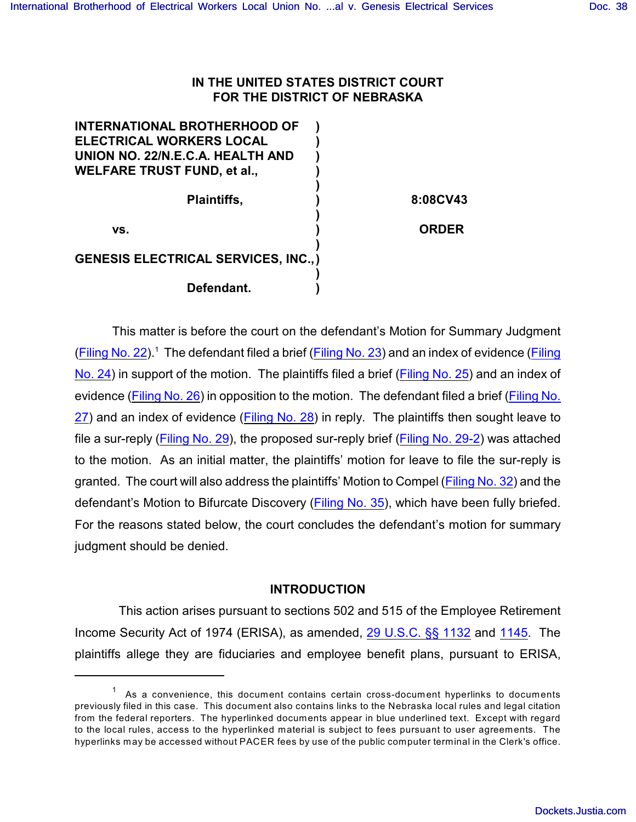# **IN THE UNITED STATES DISTRICT COURT FOR THE DISTRICT OF NEBRASKA**

| <b>INTERNATIONAL BROTHERHOOD OF</b>         |              |
|---------------------------------------------|--------------|
| <b>ELECTRICAL WORKERS LOCAL</b>             |              |
| UNION NO. 22/N.E.C.A. HEALTH AND            |              |
| <b>WELFARE TRUST FUND, et al.,</b>          |              |
|                                             |              |
| <b>Plaintiffs,</b>                          | 8:08CV43     |
|                                             |              |
| VS.                                         | <b>ORDER</b> |
|                                             |              |
| <b>GENESIS ELECTRICAL SERVICES, INC., )</b> |              |
|                                             |              |
| Defendant.                                  |              |
|                                             |              |

This matter is before the court on the defendant's Motion for Summary Judgment [\(Filing No. 22](https://ecf.ned.uscourts.gov/doc1/11301466747)).<sup>1</sup> The defendant filed a brief ([Filing No. 23](https://ecf.ned.uscourts.gov/doc1/11301466758)) and an index of evidence [\(Filing](https://ecf.ned.uscourts.gov/doc1/11301466776) [No. 24](https://ecf.ned.uscourts.gov/doc1/11301466776)) in support of the motion. The plaintiffs filed a brief [\(Filing No. 25](https://ecf.ned.uscourts.gov/doc1/11301482470)) and an index of evidence [\(Filing No. 26](https://ecf.ned.uscourts.gov/doc1/11301482502)) in opposition to the motion. The defendant filed a brief [\(Filing No.](https://ecf.ned.uscourts.gov/doc1/11301490463) [27](https://ecf.ned.uscourts.gov/doc1/11301490463)) and an index of evidence [\(Filing No. 28](https://ecf.ned.uscourts.gov/doc1/11301490487)) in reply. The plaintiffs then sought leave to file a sur-reply [\(Filing No. 29](https://ecf.ned.uscourts.gov/doc1/11311497697)), the proposed sur-reply brief [\(Filing No. 29-2](https://ecf.ned.uscourts.gov/doc1/11311497698)) was attached to the motion. As an initial matter, the plaintiffs' motion for leave to file the sur-reply is granted. The court will also address the plaintiffs' Motion to Compel [\(Filing No. 32](https://ecf.ned.uscourts.gov/doc1/11301531837)) and the defendant's Motion to Bifurcate Discovery [\(Filing No. 35](https://ecf.ned.uscourts.gov/doc1/11301538644)), which have been fully briefed. For the reasons stated below, the court concludes the defendant's motion for summary judgment should be denied.

## **INTRODUCTION**

 This action arises pursuant to sections 502 and 515 of the Employee Retirement Income Security Act of 1974 (ERISA), as amended, [29 U.S.C. §§ 1132](http://www.westlaw.com/find/default.wl?rs=CLWP3.0&vr=2.0&cite=29+USCA+s+1132) and 1145. The plaintiffs allege they are fiduciaries and employee benefit plans, pursuant to ERISA,

 $1$  As a convenience, this document contains certain cross-document hyperlinks to documents previously filed in this case. This document also contains links to the Nebraska local rules and legal citation from the federal reporters. The hyperlinked documents appear in blue underlined text. Except with regard to the local rules, access to the hyperlinked material is subject to fees pursuant to user agreements. The hyperlinks may be accessed without PACER fees by use of the public computer terminal in the Clerk's office.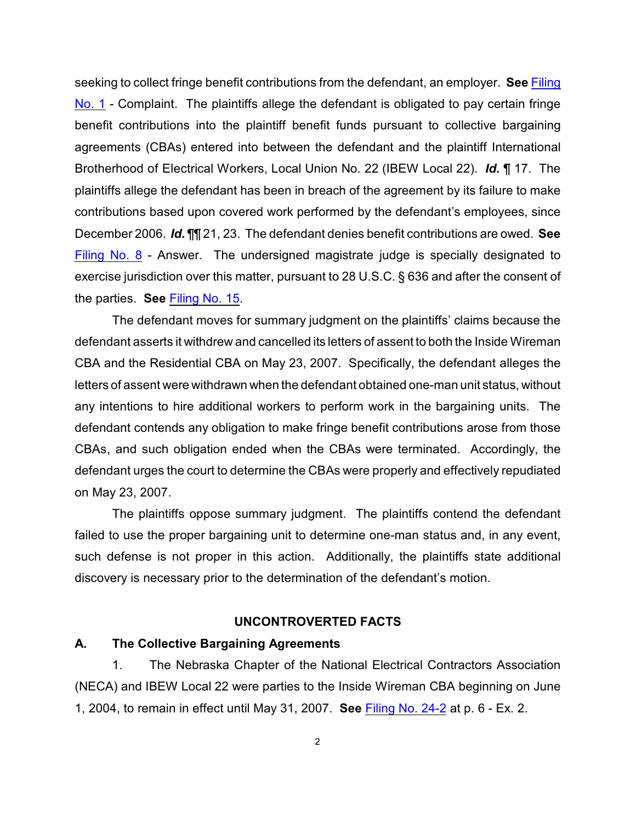seeking to collect fringe benefit contributions from the defendant, an employer. **See** [Filing](https://ecf.ned.uscourts.gov/doc1/11301365321) [No. 1](https://ecf.ned.uscourts.gov/doc1/11301365321) - Complaint. The plaintiffs allege the defendant is obligated to pay certain fringe benefit contributions into the plaintiff benefit funds pursuant to collective bargaining agreements (CBAs) entered into between the defendant and the plaintiff International Brotherhood of Electrical Workers, Local Union No. 22 (IBEW Local 22). *Id.* ¶ 17. The plaintiffs allege the defendant has been in breach of the agreement by its failure to make contributions based upon covered work performed by the defendant's employees, since December 2006. *Id.* ¶¶ 21, 23. The defendant denies benefit contributions are owed. **See** [Filing No. 8](https://ecf.ned.uscourts.gov/doc1/11301379158) - Answer. The undersigned magistrate judge is specially designated to exercise jurisdiction over this matter, pursuant to 28 U.S.C. § 636 and after the consent of the parties. **See** [Filing No. 15](https://ecf.ned.uscourts.gov/doc1/11301421264).

The defendant moves for summary judgment on the plaintiffs' claims because the defendant asserts it withdrew and cancelled its letters of assent to both the Inside Wireman CBA and the Residential CBA on May 23, 2007. Specifically, the defendant alleges the letters of assent were withdrawn when the defendant obtained one-man unit status, without any intentions to hire additional workers to perform work in the bargaining units. The defendant contends any obligation to make fringe benefit contributions arose from those CBAs, and such obligation ended when the CBAs were terminated. Accordingly, the defendant urges the court to determine the CBAs were properly and effectively repudiated on May 23, 2007.

The plaintiffs oppose summary judgment. The plaintiffs contend the defendant failed to use the proper bargaining unit to determine one-man status and, in any event, such defense is not proper in this action. Additionally, the plaintiffs state additional discovery is necessary prior to the determination of the defendant's motion.

#### **UNCONTROVERTED FACTS**

## **A. The Collective Bargaining Agreements**

1. The Nebraska Chapter of the National Electrical Contractors Association (NECA) and IBEW Local 22 were parties to the Inside Wireman CBA beginning on June 1, 2004, to remain in effect until May 31, 2007. **See** [Filing No. 24-2](https://ecf.ned.uscourts.gov/doc1/11311466777) at p. 6 - Ex. 2.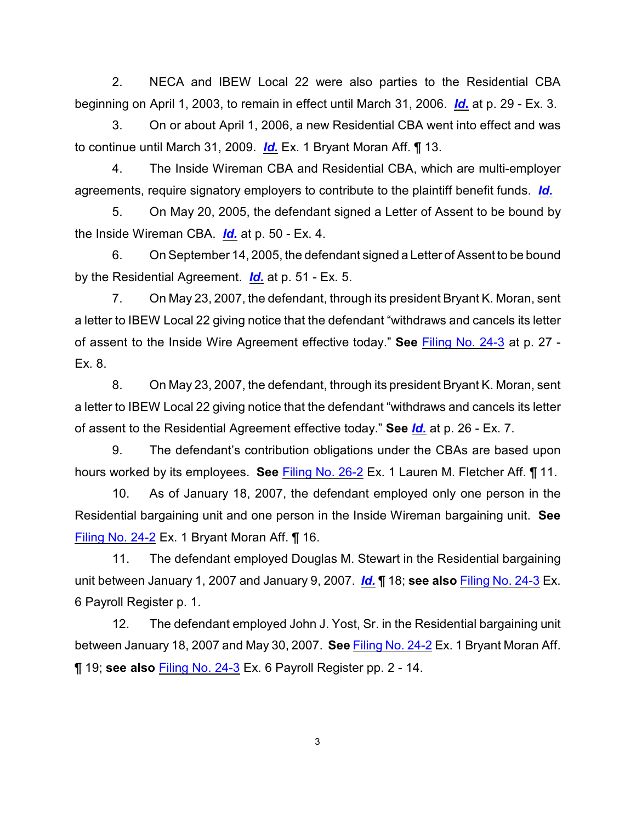2. NECA and IBEW Local 22 were also parties to the Residential CBA beginning on April 1, 2003, to remain in effect until March 31, 2006. *[Id.](https://ecf.ned.uscourts.gov/doc1/11311466777)* at p. 29 - Ex. 3.

3. On or about April 1, 2006, a new Residential CBA went into effect and was to continue until March 31, 2009. *[Id.](https://ecf.ned.uscourts.gov/doc1/11311466777)* Ex. 1 Bryant Moran Aff. ¶ 13.

4. The Inside Wireman CBA and Residential CBA, which are multi-employer agreements, require signatory employers to contribute to the plaintiff benefit funds. *[Id.](https://ecf.ned.uscourts.gov/doc1/11311466777)*

5. On May 20, 2005, the defendant signed a Letter of Assent to be bound by the Inside Wireman CBA. *[Id.](https://ecf.ned.uscourts.gov/doc1/11311466777)* at p. 50 - Ex. 4.

6. On September 14, 2005, the defendant signed a Letter of Assent to be bound by the Residential Agreement. *[Id.](https://ecf.ned.uscourts.gov/doc1/11311466777)* at p. 51 - Ex. 5.

7. On May 23, 2007, the defendant, through its president Bryant K. Moran, sent a letter to IBEW Local 22 giving notice that the defendant "withdraws and cancels its letter of assent to the Inside Wire Agreement effective today." **See** [Filing No. 24-3](https://ecf.ned.uscourts.gov/doc1/11311466778) at p. 27 - Ex. 8.

8. On May 23, 2007, the defendant, through its president Bryant K. Moran, sent a letter to IBEW Local 22 giving notice that the defendant "withdraws and cancels its letter of assent to the Residential Agreement effective today." **See** *[Id.](https://ecf.ned.uscourts.gov/doc1/11311466778)* at p. 26 - Ex. 7.

9. The defendant's contribution obligations under the CBAs are based upon hours worked by its employees. **See** [Filing No. 26-2](https://ecf.ned.uscourts.gov/doc1/11311482503) Ex. 1 Lauren M. Fletcher Aff. ¶ 11.

10. As of January 18, 2007, the defendant employed only one person in the Residential bargaining unit and one person in the Inside Wireman bargaining unit. **See** [Filing No. 24-2](https://ecf.ned.uscourts.gov/doc1/11311466777) Ex. 1 Bryant Moran Aff. ¶ 16.

11. The defendant employed Douglas M. Stewart in the Residential bargaining unit between January 1, 2007 and January 9, 2007. *[Id.](https://ecf.ned.uscourts.gov/doc1/11311466777)* ¶ 18; **see also** [Filing No. 24-3](https://ecf.ned.uscourts.gov/doc1/11311466778) Ex. 6 Payroll Register p. 1.

12. The defendant employed John J. Yost, Sr. in the Residential bargaining unit between January 18, 2007 and May 30, 2007. **See** [Filing No. 24-2](https://ecf.ned.uscourts.gov/doc1/11311466777) Ex. 1 Bryant Moran Aff. ¶ 19; **see also** [Filing No. 24-3](https://ecf.ned.uscourts.gov/doc1/11311466778) Ex. 6 Payroll Register pp. 2 - 14.

3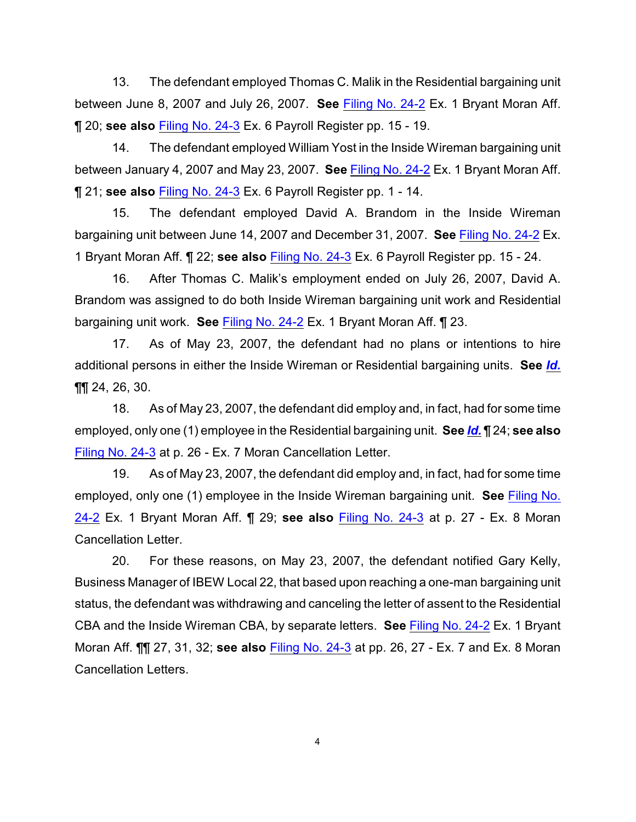13. The defendant employed Thomas C. Malik in the Residential bargaining unit between June 8, 2007 and July 26, 2007. **See** [Filing No. 24-2](https://ecf.ned.uscourts.gov/doc1/11311466777) Ex. 1 Bryant Moran Aff. ¶ 20; **see also** [Filing No. 24-3](https://ecf.ned.uscourts.gov/doc1/11311466778) Ex. 6 Payroll Register pp. 15 - 19.

14. The defendant employed William Yost in the Inside Wireman bargaining unit between January 4, 2007 and May 23, 2007. **See** [Filing No. 24-2](https://ecf.ned.uscourts.gov/doc1/11311466777) Ex. 1 Bryant Moran Aff. ¶ 21; **see also** [Filing No. 24-3](https://ecf.ned.uscourts.gov/doc1/11311466778) Ex. 6 Payroll Register pp. 1 - 14.

15. The defendant employed David A. Brandom in the Inside Wireman bargaining unit between June 14, 2007 and December 31, 2007. **See** [Filing No. 24-2](https://ecf.ned.uscourts.gov/doc1/11311466777) Ex. 1 Bryant Moran Aff. ¶ 22; **see also** [Filing No. 24-3](https://ecf.ned.uscourts.gov/doc1/11311466778) Ex. 6 Payroll Register pp. 15 - 24.

16. After Thomas C. Malik's employment ended on July 26, 2007, David A. Brandom was assigned to do both Inside Wireman bargaining unit work and Residential bargaining unit work. **See** [Filing No. 24-2](https://ecf.ned.uscourts.gov/doc1/11311466777) Ex. 1 Bryant Moran Aff. ¶ 23.

17. As of May 23, 2007, the defendant had no plans or intentions to hire additional persons in either the Inside Wireman or Residential bargaining units. **See** *[Id.](https://ecf.ned.uscourts.gov/doc1/11311466777)* ¶¶ 24, 26, 30.

18. As of May 23, 2007, the defendant did employ and, in fact, had for some time employed, only one (1) employee in the Residential bargaining unit. **See** *[Id.](https://ecf.ned.uscourts.gov/doc1/11311466777)* ¶ 24; **see also** [Filing No. 24-3](https://ecf.ned.uscourts.gov/doc1/11311466778) at p. 26 - Ex. 7 Moran Cancellation Letter.

19. As of May 23, 2007, the defendant did employ and, in fact, had for some time employed, only one (1) employee in the Inside Wireman bargaining unit. **See** [Filing No.](https://ecf.ned.uscourts.gov/doc1/11311466777) [24-2](https://ecf.ned.uscourts.gov/doc1/11311466777) Ex. 1 Bryant Moran Aff. ¶ 29; **see also** [Filing No. 24-3](https://ecf.ned.uscourts.gov/doc1/11311466778) at p. 27 - Ex. 8 Moran Cancellation Letter.

20. For these reasons, on May 23, 2007, the defendant notified Gary Kelly, Business Manager of IBEW Local 22, that based upon reaching a one-man bargaining unit status, the defendant was withdrawing and canceling the letter of assent to the Residential CBA and the Inside Wireman CBA, by separate letters. **See** [Filing No. 24-2](https://ecf.ned.uscourts.gov/doc1/11311466777) Ex. 1 Bryant Moran Aff. ¶¶ 27, 31, 32; **see also** [Filing No. 24-3](https://ecf.ned.uscourts.gov/doc1/11311466778) at pp. 26, 27 - Ex. 7 and Ex. 8 Moran Cancellation Letters.

4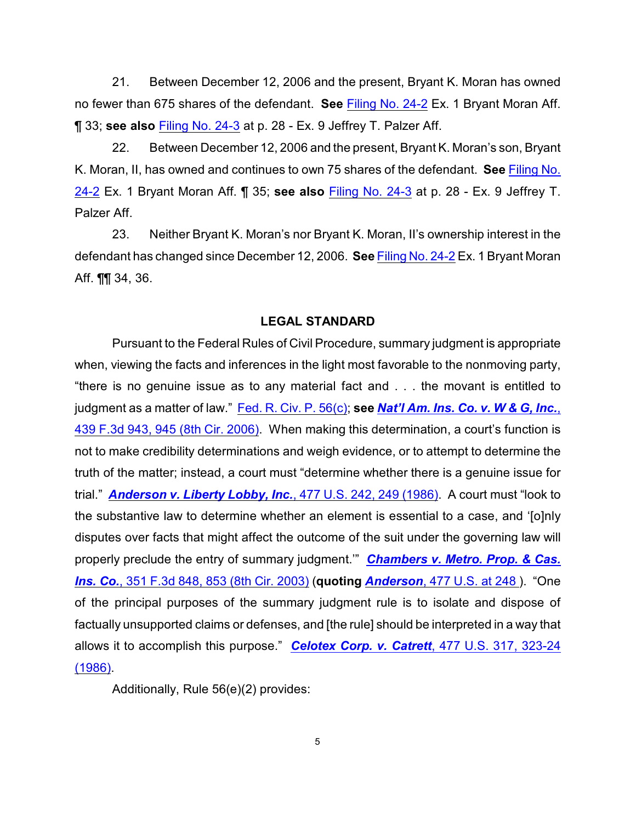21. Between December 12, 2006 and the present, Bryant K. Moran has owned no fewer than 675 shares of the defendant. **See** [Filing No. 24-2](https://ecf.ned.uscourts.gov/doc1/11311466777) Ex. 1 Bryant Moran Aff. ¶ 33; **see also** [Filing No. 24-3](https://ecf.ned.uscourts.gov/doc1/11311466778) at p. 28 - Ex. 9 Jeffrey T. Palzer Aff.

22. Between December 12, 2006 and the present, Bryant K. Moran's son, Bryant K. Moran, II, has owned and continues to own 75 shares of the defendant. **See** [Filing No.](https://ecf.ned.uscourts.gov/doc1/11311466777) [24-2](https://ecf.ned.uscourts.gov/doc1/11311466777) Ex. 1 Bryant Moran Aff. ¶ 35; **see also** [Filing No. 24-3](https://ecf.ned.uscourts.gov/doc1/11311466778) at p. 28 - Ex. 9 Jeffrey T. Palzer Aff.

23. Neither Bryant K. Moran's nor Bryant K. Moran, II's ownership interest in the defendant has changed since December 12, 2006. **See** [Filing No. 24-2](https://ecf.ned.uscourts.gov/doc1/11311466777) Ex. 1 Bryant Moran Aff. ¶¶ 34, 36.

### **LEGAL STANDARD**

Pursuant to the Federal Rules of Civil Procedure, summary judgment is appropriate when, viewing the facts and inferences in the light most favorable to the nonmoving party, "there is no genuine issue as to any material fact and . . . the movant is entitled to judgment as a matter of law." Fed. [R. Civ. P. 56\(c\)](http://www.uscourts.gov/cgi-bin/rules-redir.pl?url=http://judiciary.house.gov/media/pdfs/printers/110th/civil2007.pdf); **see** *[Nat'l Am. Ins. Co. v. W & G, Inc.](http://www.westlaw.com/find/default.wl?rs=CLWP3.0&vr=2.0&cite=439+F.3d+943)*, [439 F.3d 943, 945 \(8th Cir. 2006\)](http://www.westlaw.com/find/default.wl?rs=CLWP3.0&vr=2.0&cite=439+F.3d+943). When making this determination, a court's function is not to make credibility determinations and weigh evidence, or to attempt to determine the truth of the matter; instead, a court must "determine whether there is a genuine issue for trial." *[Anderson v. Liberty Lobby, Inc.](http://www.westlaw.com/find/default.wl?rs=CLWP3.0&vr=2.0&cite=477+U.S.+242)*, 477 U.S. 242, 249 (1986). A court must "look to the substantive law to determine whether an element is essential to a case, and '[o]nly disputes over facts that might affect the outcome of the suit under the governing law will properly preclude the entry of summary judgment.'" *[Chambers v. Metro. Prop. & Cas.](http://www.westlaw.com/find/default.wl?rs=CLWP3.0&vr=2.0&cite=351+F.3d+848) Ins. Co.*[, 351 F.3d 848, 853 \(8th Cir. 2003\)](http://www.westlaw.com/find/default.wl?rs=CLWP3.0&vr=2.0&cite=351+F.3d+848) (**quoting** *Anderson*[, 477 U.S. at 248](http://www.westlaw.com/find/default.wl?rs=CLWP3.0&vr=2.0&cite=477+U.S.+242) ). "One of the principal purposes of the summary judgment rule is to isolate and dispose of factually unsupported claims or defenses, and [the rule] should be interpreted in a way that allows it to accomplish this purpose." *[Celotex Corp. v. Catrett](http://www.westlaw.com/find/default.wl?rs=CLWP3.0&vr=2.0&cite=477+U.S.+317)*, 477 U.S. 317, 323-24 [\(1986\)](http://www.westlaw.com/find/default.wl?rs=CLWP3.0&vr=2.0&cite=477+U.S.+317).

Additionally, Rule 56(e)(2) provides: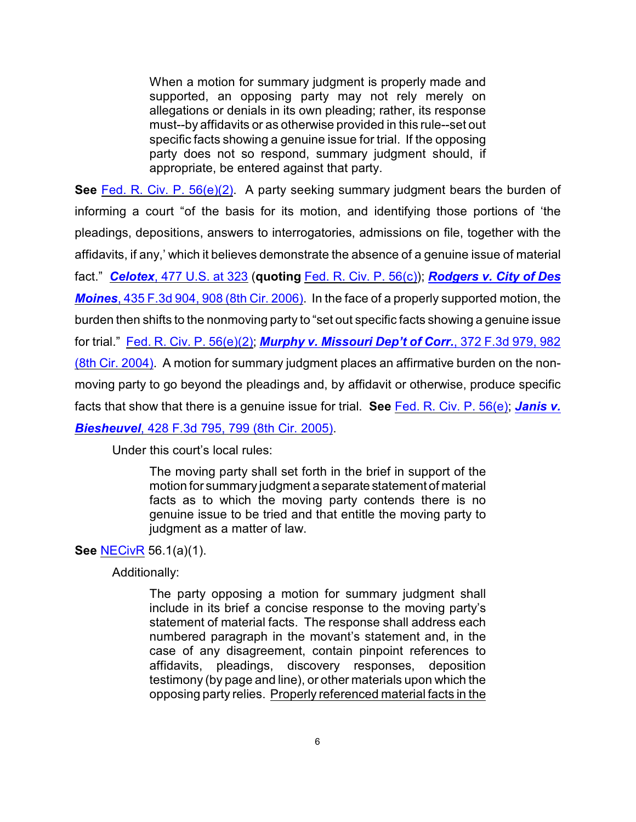When a motion for summary judgment is properly made and supported, an opposing party may not rely merely on allegations or denials in its own pleading; rather, its response must--by affidavits or as otherwise provided in this rule--set out specific facts showing a genuine issue for trial. If the opposing party does not so respond, summary judgment should, if appropriate, be entered against that party.

**See** [Fed. R. Civ. P. 56\(e\)\(2\)](http://www.uscourts.gov/cgi-bin/rules-redir.pl?url=http://judiciary.house.gov/media/pdfs/printers/110th/civil2007.pdf). A party seeking summary judgment bears the burden of informing a court "of the basis for its motion, and identifying those portions of 'the pleadings, depositions, answers to interrogatories, admissions on file, together with the affidavits, if any,' which it believes demonstrate the absence of a genuine issue of material fact." *Celotex*[, 477 U.S. at 323](http://www.westlaw.com/find/default.wl?rs=CLWP3.0&vr=2.0&cite=477+U.S.+323) (**quoting** [Fed. R. Civ. P. 56\(c\)](http://www.uscourts.gov/cgi-bin/rules-redir.pl?url=http://judiciary.house.gov/media/pdfs/printers/110th/civil2007.pdf)); *[Rodgers v. City of Des](http://www.westlaw.com/find/default.wl?rs=CLWP3.0&vr=2.0&cite=435+F.3d+904) Moines*[, 435 F.3d 904, 908 \(8th Cir. 2006\)](http://www.westlaw.com/find/default.wl?rs=CLWP3.0&vr=2.0&cite=435+F.3d+904). In the face of a properly supported motion, the burden then shifts to the nonmoving party to "set out specific facts showing a genuine issue for trial." [Fed. R. Civ. P. 56\(e\)\(2\)](http://www.uscourts.gov/cgi-bin/rules-redir.pl?url=http://judiciary.house.gov/media/pdfs/printers/110th/civil2007.pdf); *[Murphy v. Missouri Dep't of Corr.](http://www.westlaw.com/find/default.wl?rs=CLWP3.0&vr=2.0&cite=372+F.3d+979)*, 372 F.3d 979, 982 [\(8th Cir. 2004\)](http://www.westlaw.com/find/default.wl?rs=CLWP3.0&vr=2.0&cite=372+F.3d+979). A motion for summary judgment places an affirmative burden on the nonmoving party to go beyond the pleadings and, by affidavit or otherwise, produce specific facts that show that there is a genuine issue for trial. **See** [Fed. R. Civ. P. 56\(e\)](http://www.uscourts.gov/cgi-bin/rules-redir.pl?url=http://judiciary.house.gov/media/pdfs/printers/110th/civil2007.pdf); *[Janis v.](http://www.westlaw.com/find/default.wl?rs=CLWP3.0&vr=2.0&cite=428+F.3d+795) Biesheuvel*[, 428 F.3d 795, 799 \(8th Cir. 2005\)](http://www.westlaw.com/find/default.wl?rs=CLWP3.0&vr=2.0&cite=428+F.3d+795).

Under this court's local rules:

The moving party shall set forth in the brief in support of the motion for summary judgment a separate statement of material facts as to which the moving party contends there is no genuine issue to be tried and that entitle the moving party to judgment as a matter of law.

# **See** [NECivR](http://www.ned.uscourts.gov/localrules/NECivR07-1029.pdf) 56.1(a)(1).

Additionally:

The party opposing a motion for summary judgment shall include in its brief a concise response to the moving party's statement of material facts. The response shall address each numbered paragraph in the movant's statement and, in the case of any disagreement, contain pinpoint references to affidavits, pleadings, discovery responses, deposition testimony (by page and line), or other materials upon which the opposing party relies. Properly referenced material facts in the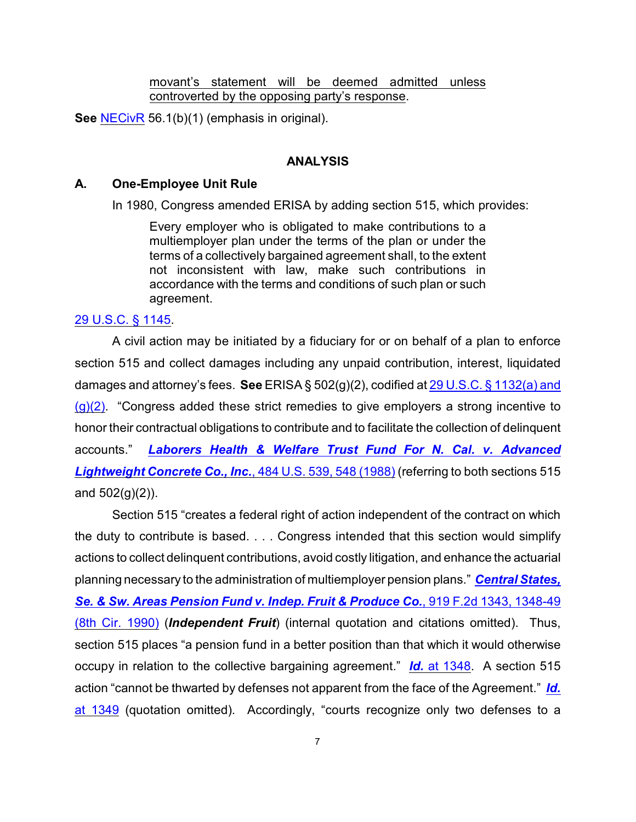movant's statement will be deemed admitted unless controverted by the opposing party's response.

**See** [NECivR](http://www.ned.uscourts.gov/localrules/NECivR07-1029.pdf) 56.1(b)(1) (emphasis in original).

### **ANALYSIS**

#### **A. One-Employee Unit Rule**

In 1980, Congress amended ERISA by adding section 515, which provides:

Every employer who is obligated to make contributions to a multiemployer plan under the terms of the plan or under the terms of a collectively bargained agreement shall, to the extent not inconsistent with law, make such contributions in accordance with the terms and conditions of such plan or such agreement.

#### [29 U.S.C. § 1145](http://www.westlaw.com/find/default.wl?rs=CLWP3.0&vr=2.0&cite=29+USCA+s+1145).

A civil action may be initiated by a fiduciary for or on behalf of a plan to enforce section 515 and collect damages including any unpaid contribution, interest, liquidated damages and attorney's fees. **See** ERISA § 502(g)(2), codified at [29 U.S.C. § 1132\(a\) and](http://www.westlaw.com/find/default.wl?rs=CLWP3.0&vr=2.0&cite=29+USCA+s+1132)  $(g)(2)$ . "Congress added these strict remedies to give employers a strong incentive to honor their contractual obligations to contribute and to facilitate the collection of delinquent accounts." *[Laborers Health & Welfare Trust Fund For N. Cal. v. Advanced](http://www.westlaw.com/find/default.wl?rs=CLWP3.0&vr=2.0&cite=484+U.S.+539) [Lightweight Concrete Co., Inc.](http://www.westlaw.com/find/default.wl?rs=CLWP3.0&vr=2.0&cite=484+U.S.+539)*, 484 U.S. 539, 548 (1988) (referring to both sections 515 and  $502(g)(2)$ ).

Section 515 "creates a federal right of action independent of the contract on which the duty to contribute is based. . . . Congress intended that this section would simplify actions to collect delinquent contributions, avoid costly litigation, and enhance the actuarial planning necessary to the administration of multiemployer pension plans." *[Central States,](http://www.westlaw.com/find/default.wl?rs=CLWP3.0&vr=2.0&cite=919+F.2d+1343) Se. & Sw. Areas [Pension Fund v. Indep. Fruit & Produce Co.](http://www.westlaw.com/find/default.wl?rs=CLWP3.0&vr=2.0&cite=919+F.2d+1343)*, 919 F.2d 1343, 1348-49 [\(8th Cir. 1990\)](http://www.westlaw.com/find/default.wl?rs=CLWP3.0&vr=2.0&cite=919+F.2d+1343) (*Independent Fruit*) (internal quotation and citations omitted). Thus, section 515 places "a pension fund in a better position than that which it would otherwise occupy in relation to the collective bargaining agreement." *Id.* [at 1348](http://www.westlaw.com/find/default.wl?rs=CLWP3.0&vr=2.0&cite=919+F.2d+1348). A section 515 action "cannot be thwarted by defenses not apparent from the face of the Agreement." *[Id.](http://www.westlaw.com/find/default.wl?rs=CLWP3.0&vr=2.0&cite=919+F.2d+1348)* [at 1349](http://www.westlaw.com/find/default.wl?rs=CLWP3.0&vr=2.0&cite=919+F.2d+1348) (quotation omitted). Accordingly, "courts recognize only two defenses to a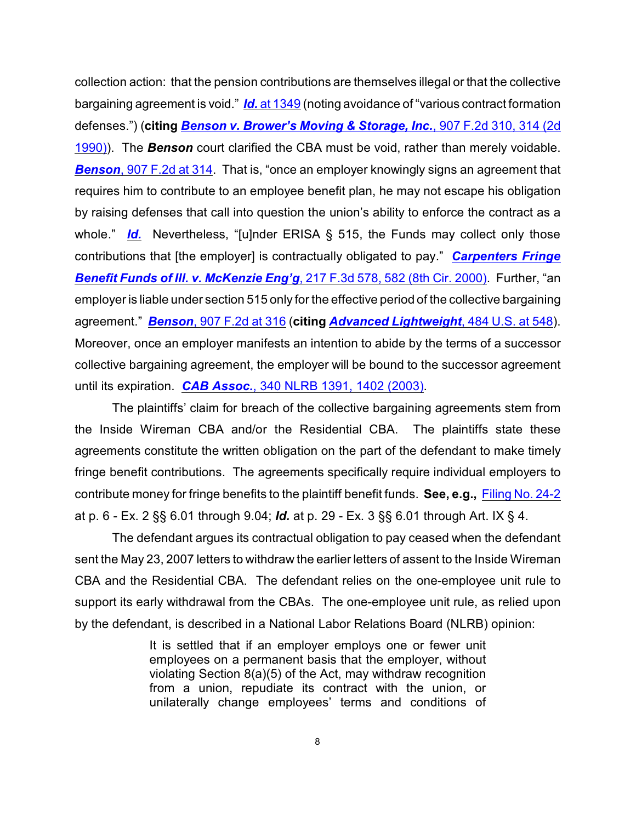collection action: that the pension contributions are themselves illegal or that the collective bargaining agreement is void." *Id.* [at 1349](http://www.westlaw.com/find/default.wl?rs=CLWP3.0&vr=2.0&cite=919+F.2d+1349) (noting avoidance of "various contract formation defenses.") (**citing** *[Benson v. Brower's Moving & Storage, Inc.](http://www.westlaw.com/find/default.wl?rs=CLWP3.0&vr=2.0&cite=907+F.2d+310)*, 907 F.2d 310, 314 (2d [1990\)](http://www.westlaw.com/find/default.wl?rs=CLWP3.0&vr=2.0&cite=907+F.2d+310)). The *Benson* court clarified the CBA must be void, rather than merely voidable. **Benson**[, 907 F.2d at 314](http://www.westlaw.com/find/default.wl?rs=CLWP3.0&vr=2.0&cite=907+F.2d+314). That is, "once an employer knowingly signs an agreement that requires him to contribute to an employee benefit plan, he may not escape his obligation by raising defenses that call into question the union's ability to enforce the contract as a whole." **[Id.](http://www.westlaw.com/find/default.wl?rs=CLWP3.0&vr=2.0&cite=907+F.2d+314)** Nevertheless, "[u]nder ERISA § 515, the Funds may collect only those contributions that [the employer] is contractually obligated to pay." *[Carpenters Fringe](http://www.westlaw.com/find/default.wl?rs=CLWP3.0&vr=2.0&cite=217+F.3d+578) [Benefit Funds of Ill. v. McKenzie Eng'g](http://www.westlaw.com/find/default.wl?rs=CLWP3.0&vr=2.0&cite=217+F.3d+578)*, 217 F.3d 578, 582 (8th Cir. 2000). Further, "an employer is liable under section 515 only for the effective period of the collective bargaining agreement." *Benson*[, 907 F.2d at 316](http://www.westlaw.com/find/default.wl?rs=CLWP3.0&vr=2.0&cite=907+F.2d+314) (**citing** *[Advanced Lightweight](http://www.westlaw.com/find/default.wl?rs=CLWP3.0&vr=2.0&cite=484+U.S.+539)*, 484 U.S. at 548). Moreover, once an employer manifests an intention to abide by the terms of a successor collective bargaining agreement, the employer will be bound to the successor agreement until its expiration. *CAB Assoc.*[, 340 NLRB 1391, 1402 \(2003\)](http://www.westlaw.com/find/default.wl?rs=CLWP3.0&vr=2.0&cite=340+NLRB+1391).

The plaintiffs' claim for breach of the collective bargaining agreements stem from the Inside Wireman CBA and/or the Residential CBA. The plaintiffs state these agreements constitute the written obligation on the part of the defendant to make timely fringe benefit contributions. The agreements specifically require individual employers to contribute money for fringe benefits to the plaintiff benefit funds. **See, e.g.,** [Filing No. 24-2](https://ecf.ned.uscourts.gov/doc1/11311466777) at p. 6 - Ex. 2 §§ 6.01 through 9.04; *Id.* at p. 29 - Ex. 3 §§ 6.01 through Art. IX § 4.

The defendant argues its contractual obligation to pay ceased when the defendant sent the May 23, 2007 letters to withdraw the earlier letters of assent to the Inside Wireman CBA and the Residential CBA. The defendant relies on the one-employee unit rule to support its early withdrawal from the CBAs. The one-employee unit rule, as relied upon by the defendant, is described in a National Labor Relations Board (NLRB) opinion:

> It is settled that if an employer employs one or fewer unit employees on a permanent basis that the employer, without violating Section 8(a)(5) of the Act, may withdraw recognition from a union, repudiate its contract with the union, or unilaterally change employees' terms and conditions of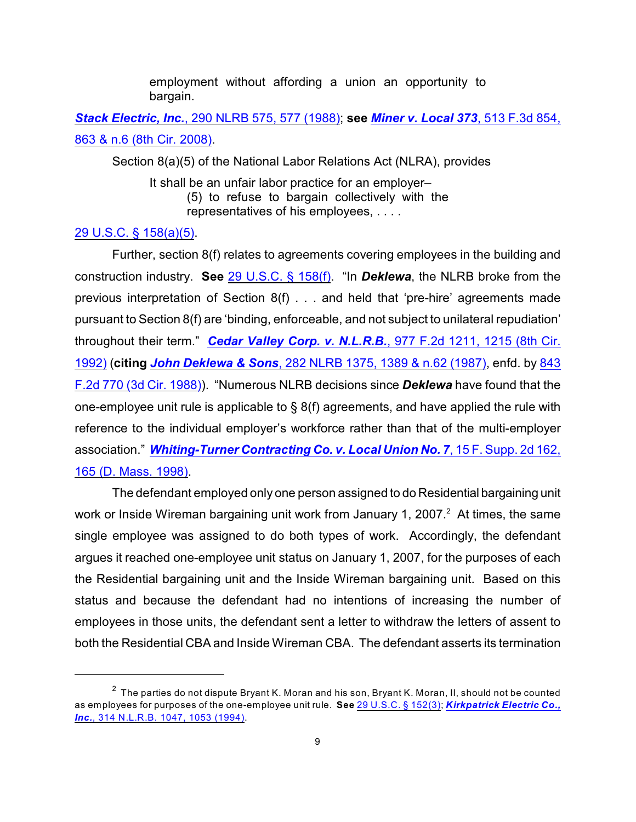employment without affording a union an opportunity to bargain.

*Stack Electric, Inc.*[, 290 NLRB 575, 577 \(1988\)](http://www.westlaw.com/find/default.wl?rs=CLWP3.0&vr=2.0&cite=290+NLRB+575); **see** *[Miner v. Local 373](http://www.westlaw.com/find/default.wl?rs=CLWP3.0&vr=2.0&cite=513+F.3d+854)*, 513 F.3d 854, [863 & n.6 \(8th Cir. 2008\)](http://www.westlaw.com/find/default.wl?rs=CLWP3.0&vr=2.0&cite=513+F.3d+854).

Section 8(a)(5) of the National Labor Relations Act (NLRA), provides

It shall be an unfair labor practice for an employer– (5) to refuse to bargain collectively with the representatives of his employees, . . . .

### [29 U.S.C. § 158\(a\)\(5\)](http://www.westlaw.com/find/default.wl?rs=CLWP3.0&vr=2.0&cite=29+USCA+s+158%28a%29%285%29).

Further, section 8(f) relates to agreements covering employees in the building and construction industry. **See** [29 U.S.C. § 158\(f\)](http://www.westlaw.com/find/default.wl?rs=CLWP3.0&vr=2.0&cite=29+USCA+s+158%28f%29). "In *Deklewa*, the NLRB broke from the previous interpretation of Section 8(f) . . . and held that 'pre-hire' agreements made pursuant to Section 8(f) are 'binding, enforceable, and not subject to unilateral repudiation' throughout their term." *[Cedar Valley Corp. v. N.L.R.B.](http://www.westlaw.com/find/default.wl?rs=CLWP3.0&vr=2.0&cite=977+F.2d+1211)*, 977 F.2d 1211, 1215 (8th Cir. [1992\)](http://www.westlaw.com/find/default.wl?rs=CLWP3.0&vr=2.0&cite=977+F.2d+1211) (**citing** *John Deklewa & Sons*[, 282 NLRB 1375, 1389 & n.62 \(1987\)](http://www.westlaw.com/find/default.wl?rs=CLWP3.0&vr=2.0&cite=282+NLRB+1375), enfd. by [843](http://www.westlaw.com/find/default.wl?rs=CLWP3.0&vr=2.0&cite=843+F.2d+770) [F.2d 770 \(3d Cir. 1988\)](http://www.westlaw.com/find/default.wl?rs=CLWP3.0&vr=2.0&cite=843+F.2d+770)). "Numerous NLRB decisions since *Deklewa* have found that the one-employee unit rule is applicable to § 8(f) agreements, and have applied the rule with reference to the individual employer's workforce rather than that of the multi-employer association." *[Whiting-Turner Contracting Co. v. Local Union No. 7](http://www.westlaw.com/find/default.wl?rs=CLWP3.0&vr=2.0&cite=15+F.Supp.2d+162)*, 15 F. Supp. 2d 162, [165 \(D. Mass. 1998\)](http://www.westlaw.com/find/default.wl?rs=CLWP3.0&vr=2.0&cite=15+F.Supp.2d+162).

The defendant employed only one person assigned to do Residential bargaining unit work or Inside Wireman bargaining unit work from January 1, 2007. $^2\,$  At times, the same single employee was assigned to do both types of work. Accordingly, the defendant argues it reached one-employee unit status on January 1, 2007, for the purposes of each the Residential bargaining unit and the Inside Wireman bargaining unit. Based on this status and because the defendant had no intentions of increasing the number of employees in those units, the defendant sent a letter to withdraw the letters of assent to both the Residential CBA and Inside Wireman CBA. The defendant asserts its termination

 $2$  The parties do not dispute Bryant K. Moran and his son, Bryant K. Moran, II, should not be counted as employees for purposes of the one-employee unit rule. **See** [29 U.S.C. § 152\(3\)](http://www.westlaw.com/find/default.wl?rs=CLWP3.0&vr=2.0&cite=29+USCA+s+152%283%29); *[Kirkpatrick Electric Co.,](http://www.westlaw.com/find/default.wl?rs=CLWP3.0&vr=2.0&cite=314+NLRB+1047) Inc.*[, 314 N.L.R.B. 1047, 1053 \(1994\)](http://www.westlaw.com/find/default.wl?rs=CLWP3.0&vr=2.0&cite=314+NLRB+1047).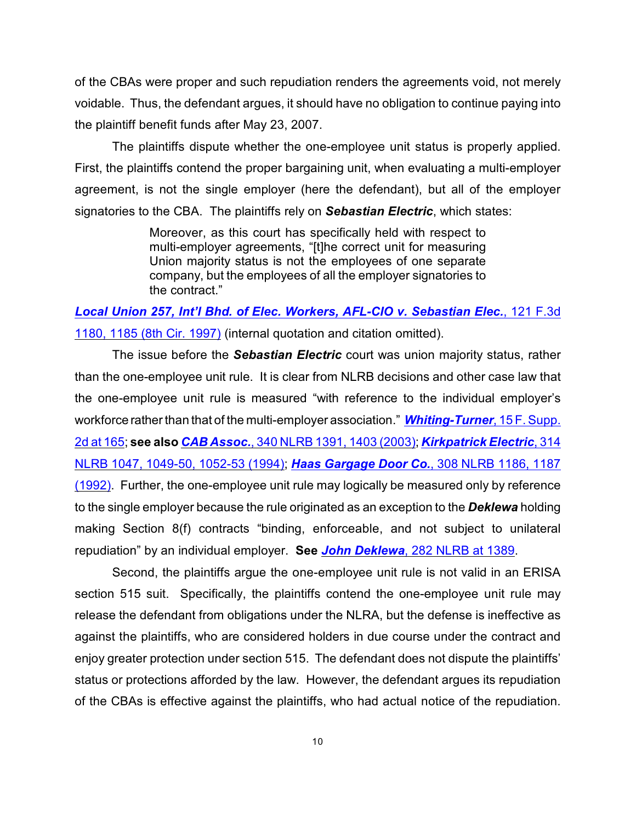of the CBAs were proper and such repudiation renders the agreements void, not merely voidable. Thus, the defendant argues, it should have no obligation to continue paying into the plaintiff benefit funds after May 23, 2007.

The plaintiffs dispute whether the one-employee unit status is properly applied. First, the plaintiffs contend the proper bargaining unit, when evaluating a multi-employer agreement, is not the single employer (here the defendant), but all of the employer signatories to the CBA. The plaintiffs rely on *Sebastian Electric*, which states:

> Moreover, as this court has specifically held with respect to multi-employer agreements, "[t]he correct unit for measuring Union majority status is not the employees of one separate company, but the employees of all the employer signatories to the contract."

*[Local Union 257, Int'l Bhd. of Elec. Workers, AFL-CIO v. Sebastian Elec.](http://www.westlaw.com/find/default.wl?rs=CLWP3.0&vr=2.0&cite=121+F.3d+1180)*, 121 F.3d [1180, 1185 \(8th Cir. 1997\)](http://www.westlaw.com/find/default.wl?rs=CLWP3.0&vr=2.0&cite=121+F.3d+1180) (internal quotation and citation omitted).

The issue before the *Sebastian Electric* court was union majority status, rather than the one-employee unit rule. It is clear from NLRB decisions and other case law that the one-employee unit rule is measured "with reference to the individual employer's workforce rather than that of the multi-employer association." *[Whiting-Turner](http://www.westlaw.com/find/default.wl?rs=CLWP3.0&vr=2.0&cite=15+F.Supp.2d+162)*, 15 F. Supp. [2d at 165](http://www.westlaw.com/find/default.wl?rs=CLWP3.0&vr=2.0&cite=15+F.Supp.2d+162); **see also** *CAB Assoc.*[, 340 NLRB 1391, 1403 \(2003\)](http://www.westlaw.com/find/default.wl?rs=CLWP3.0&vr=2.0&cite=340+NLRB+1391); *[Kirkpatrick Electric](http://www.westlaw.com/find/default.wl?rs=CLWP3.0&vr=2.0&cite=314+NLRB+1047)*, 314 [NLRB 1047, 1049-50, 1052-53 \(1994\)](http://www.westlaw.com/find/default.wl?rs=CLWP3.0&vr=2.0&cite=314+NLRB+1047); *[Haas Gargage Door Co.](http://www.westlaw.com/find/default.wl?rs=CLWP3.0&vr=2.0&cite=308+NLRB+1186)*, 308 NLRB 1186, 1187 [\(1992\)](http://www.westlaw.com/find/default.wl?rs=CLWP3.0&vr=2.0&cite=308+NLRB+1186). Further, the one-employee unit rule may logically be measured only by reference to the single employer because the rule originated as an exception to the *Deklewa* holding making Section 8(f) contracts "binding, enforceable, and not subject to unilateral repudiation" by an individual employer. **See** *John Deklewa*[, 282 NLRB at 1389](http://www.westlaw.com/find/default.wl?rs=CLWP3.0&vr=2.0&cite=282+NLRB+1375).

Second, the plaintiffs argue the one-employee unit rule is not valid in an ERISA section 515 suit. Specifically, the plaintiffs contend the one-employee unit rule may release the defendant from obligations under the NLRA, but the defense is ineffective as against the plaintiffs, who are considered holders in due course under the contract and enjoy greater protection under section 515. The defendant does not dispute the plaintiffs' status or protections afforded by the law. However, the defendant argues its repudiation of the CBAs is effective against the plaintiffs, who had actual notice of the repudiation.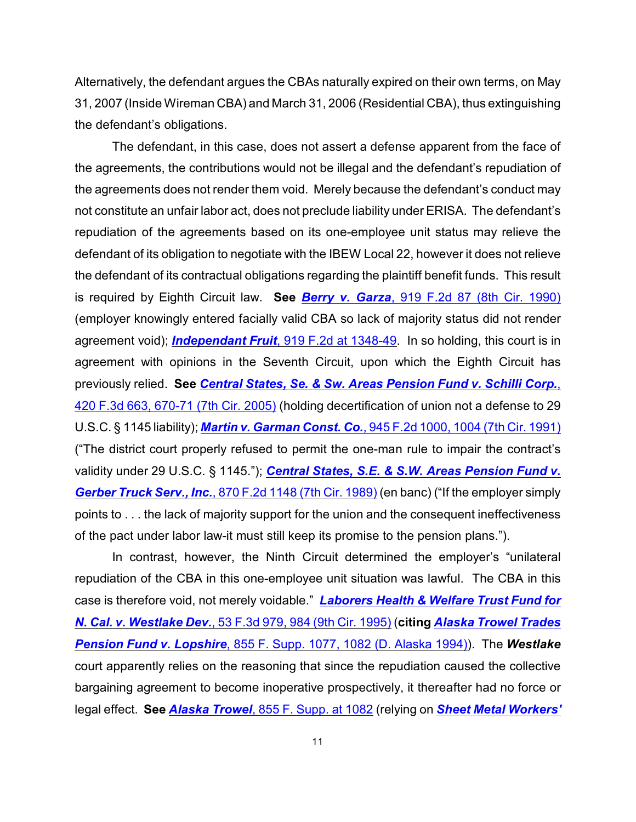Alternatively, the defendant argues the CBAs naturally expired on their own terms, on May 31, 2007 (Inside Wireman CBA) and March 31, 2006 (Residential CBA), thus extinguishing the defendant's obligations.

The defendant, in this case, does not assert a defense apparent from the face of the agreements, the contributions would not be illegal and the defendant's repudiation of the agreements does not render them void. Merely because the defendant's conduct may not constitute an unfair labor act, does not preclude liability under ERISA. The defendant's repudiation of the agreements based on its one-employee unit status may relieve the defendant of its obligation to negotiate with the IBEW Local 22, however it does not relieve the defendant of its contractual obligations regarding the plaintiff benefit funds. This result is required by Eighth Circuit law. **See** *Berry v. Garza*[, 919 F.2d 87 \(8th Cir. 1990\)](http://www.westlaw.com/find/default.wl?rs=CLWP3.0&vr=2.0&cite=919+F.2d+87) (employer knowingly entered facially valid CBA so lack of majority status did not render agreement void); *Independant Fruit*[, 919 F.2d at 1348-49](http://www.westlaw.com/find/default.wl?rs=CLWP3.0&vr=2.0&cite=919+F.2d+1343). In so holding, this court is in agreement with opinions in the Seventh Circuit, upon which the Eighth Circuit has previously relied. **See** *[Central States, Se. & Sw. Areas Pension Fund v. Schilli Corp.](http://www.westlaw.com/find/default.wl?rs=CLWP3.0&vr=2.0&cite=420+F.3d+663)*, [420 F.3d 663, 670-71 \(7th Cir. 2005\)](http://www.westlaw.com/find/default.wl?rs=CLWP3.0&vr=2.0&cite=420+F.3d+663) (holding decertification of union not a defense to 29 U.S.C. § 1145 liability); *Martin v. Garman Const. Co.*[, 945 F.2d 1000, 1004 \(7th Cir. 1991\)](http://www.westlaw.com/find/default.wl?rs=CLWP3.0&vr=2.0&cite=945+F.2d+1000) ("The district court properly refused to permit the one-man rule to impair the contract's validity under 29 U.S.C. § 1145."); *[Central States, S.E. & S.W. Areas Pension Fund v.](http://www.westlaw.com/find/default.wl?rs=CLWP3.0&vr=2.0&cite=870+F.2d+1148) Gerber Truck Serv., Inc.*[, 870 F.2d 1148 \(7th Cir. 1989\)](http://www.westlaw.com/find/default.wl?rs=CLWP3.0&vr=2.0&cite=870+F.2d+1148) (en banc) ("If the employer simply points to . . . the lack of majority support for the union and the consequent ineffectiveness of the pact under labor law-it must still keep its promise to the pension plans.").

In contrast, however, the Ninth Circuit determined the employer's "unilateral repudiation of the CBA in this one-employee unit situation was lawful. The CBA in this case is therefore void, not merely voidable." *[Laborers Health & Welfare Trust Fund for](http://www.westlaw.com/find/default.wl?rs=CLWP3.0&vr=2.0&cite=53+F.3d+979) N. Cal. v. Westlake Dev.*[, 53 F.3d 979, 984 \(9th Cir. 1995\)](http://www.westlaw.com/find/default.wl?rs=CLWP3.0&vr=2.0&cite=53+F.3d+979) (**citing** *[Alaska Trowel Trades](http://www.westlaw.com/find/default.wl?rs=CLWP3.0&vr=2.0&cite=855+F.Supp.+1077) Pension Fund v. Lopshire*[, 855 F. Supp. 1077, 1082 \(D. Alaska 1994\)](http://www.westlaw.com/find/default.wl?rs=CLWP3.0&vr=2.0&cite=855+F.Supp.+1077)). The *Westlake* court apparently relies on the reasoning that since the repudiation caused the collective bargaining agreement to become inoperative prospectively, it thereafter had no force or legal effect. **See** *Alaska Trowel*[, 855 F. Supp. at 1082](http://www.westlaw.com/find/default.wl?rs=CLWP3.0&vr=2.0&cite=855+F.Supp.+1082) (relying on *[Sheet Metal Workers'](http://www.westlaw.com/find/default.wl?rs=CLWP3.0&vr=2.0&cite=954+F.2d+1506)*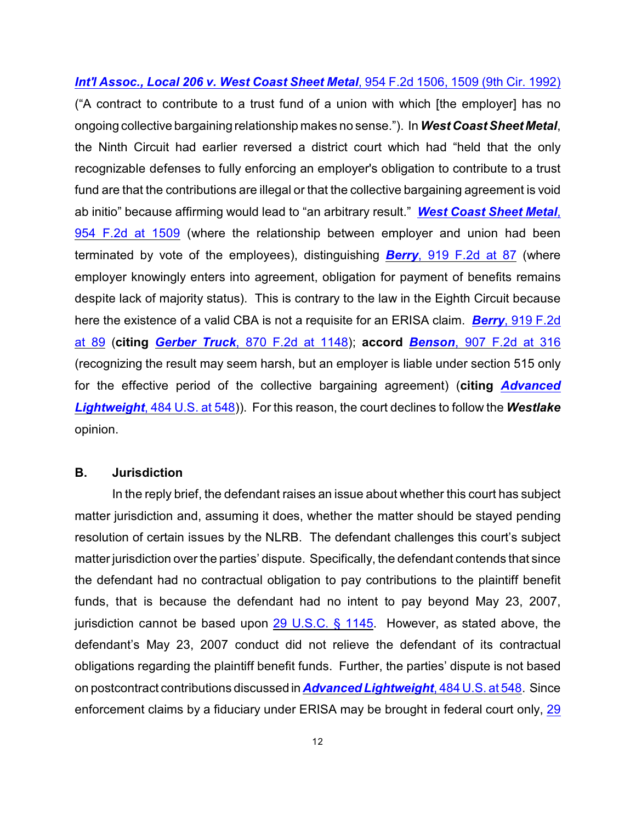*Int'l Assoc., Local 206 v. West Coast Sheet Metal*, 954 F.2d 1506, 1509 (9th Cir. 1992) ("A contract to contribute to a trust fund of a union with which [the employer] has no ongoing collective bargaining relationship makes no sense."). In *West Coast Sheet Metal*, the Ninth Circuit had earlier reversed a district court which had "held that the only recognizable defenses to fully enforcing an employer's obligation to contribute to a trust fund are that the contributions are illegal or that the collective bargaining agreement is void ab initio" because affirming would lead to "an arbitrary result." *[West Coast Sheet Metal](http://www.westlaw.com/find/default.wl?rs=CLWP3.0&vr=2.0&cite=954+F.2d+1506)*, [954 F.2d at 1509](http://www.westlaw.com/find/default.wl?rs=CLWP3.0&vr=2.0&cite=954+F.2d+1506) (where the relationship between employer and union had been terminated by vote of the employees), distinguishing *Berry*[, 919 F.2d at 87](http://www.westlaw.com/find/default.wl?rs=CLWP3.0&vr=2.0&cite=919+F.2d+87) (where employer knowingly enters into agreement, obligation for payment of benefits remains despite lack of majority status). This is contrary to the law in the Eighth Circuit because here the existence of a valid CBA is not a requisite for an ERISA claim. *Berry*[, 919 F.2d](http://www.westlaw.com/find/default.wl?rs=CLWP3.0&vr=2.0&cite=919+F.2d+87) [at 89](http://www.westlaw.com/find/default.wl?rs=CLWP3.0&vr=2.0&cite=919+F.2d+87) (**citing** *Gerber Truck*[, 870 F.2d at 1148](http://www.westlaw.com/find/default.wl?rs=CLWP3.0&vr=2.0&cite=870+F.2d+1148)); **accord** *Benson*[, 907 F.2d at 316](http://www.westlaw.com/find/default.wl?rs=CLWP3.0&vr=2.0&cite=907+F.2d+314) (recognizing the result may seem harsh, but an employer is liable under section 515 only for the effective period of the collective bargaining agreement) (**citing** *[Advanced](http://www.westlaw.com/find/default.wl?rs=CLWP3.0&vr=2.0&cite=484+U.S.+539) Lightweight*[, 484 U.S. at 548](http://www.westlaw.com/find/default.wl?rs=CLWP3.0&vr=2.0&cite=484+U.S.+539))). For this reason, the court declines to follow the *Westlake* opinion.

#### **B. Jurisdiction**

In the reply brief, the defendant raises an issue about whether this court has subject matter jurisdiction and, assuming it does, whether the matter should be stayed pending resolution of certain issues by the NLRB. The defendant challenges this court's subject matter jurisdiction over the parties' dispute. Specifically, the defendant contends that since the defendant had no contractual obligation to pay contributions to the plaintiff benefit funds, that is because the defendant had no intent to pay beyond May 23, 2007, jurisdiction cannot be based upon [29 U.S.C. § 1145](http://www.westlaw.com/find/default.wl?rs=CLWP3.0&vr=2.0&cite=29+USCA+s+1145). However, as stated above, the defendant's May 23, 2007 conduct did not relieve the defendant of its contractual obligations regarding the plaintiff benefit funds. Further, the parties' dispute is not based on postcontract contributions discussed in *[Advanced Lightweight](http://www.westlaw.com/find/default.wl?rs=CLWP3.0&vr=2.0&cite=484+U.S.+539)*, 484 U.S. at 548. Since enforcement claims by a fiduciary under ERISA may be brought in federal court only, [29](http://www.westlaw.com/find/default.wl?rs=CLWP3.0&vr=2.0&cite=29+USCA+s+1132%28e%29%281%29)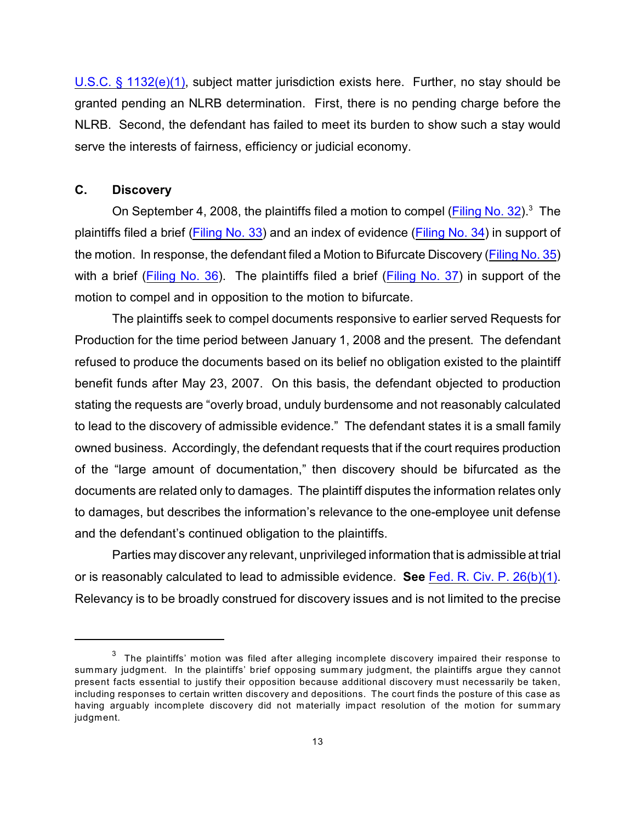U.S.C. § 1132(e)(1), subject matter jurisdiction exists here. Further, no stay should be granted pending an NLRB determination. First, there is no pending charge before the NLRB. Second, the defendant has failed to meet its burden to show such a stay would serve the interests of fairness, efficiency or judicial economy.

# **C. Discovery**

On September 4, 2008, the plaintiffs filed a motion to compel (Filing [No. 32](https://ecf.ned.uscourts.gov/doc1/11301531837)).<sup>3</sup> The plaintiffs filed a brief [\(Filing No. 33](https://ecf.ned.uscourts.gov/doc1/11301531849)) and an index of evidence [\(Filing No. 34](https://ecf.ned.uscourts.gov/doc1/11301531891)) in support of the motion. In response, the defendant filed a Motion to Bifurcate Discovery [\(Filing No. 35](https://ecf.ned.uscourts.gov/doc1/11301538644)) with a brief [\(Filing No. 36](https://ecf.ned.uscourts.gov/doc1/11301538657)). The plaintiffs filed a brief [\(Filing No. 37](https://ecf.ned.uscourts.gov/doc1/11301542210)) in support of the motion to compel and in opposition to the motion to bifurcate.

The plaintiffs seek to compel documents responsive to earlier served Requests for Production for the time period between January 1, 2008 and the present. The defendant refused to produce the documents based on its belief no obligation existed to the plaintiff benefit funds after May 23, 2007. On this basis, the defendant objected to production stating the requests are "overly broad, unduly burdensome and not reasonably calculated to lead to the discovery of admissible evidence." The defendant states it is a small family owned business. Accordingly, the defendant requests that if the court requires production of the "large amount of documentation," then discovery should be bifurcated as the documents are related only to damages. The plaintiff disputes the information relates only to damages, but describes the information's relevance to the one-employee unit defense and the defendant's continued obligation to the plaintiffs.

Parties may discover any relevant, unprivileged information that is admissible at trial or is reasonably calculated to lead to admissible evidence. **See** [Fed. R. Civ. P. 26\(b\)\(1\)](http://www.westlaw.com/find/default.wl?rs=CLWP3.0&vr=2.0&cite=FRCP+26). Relevancy is to be broadly construed for discovery issues and is not limited to the precise

 $3$  The plaintiffs' motion was filed after alleging incomplete discovery impaired their response to summary judgment. In the plaintiffs' brief opposing summary judgment, the plaintiffs argue they cannot present facts essential to justify their opposition because additional discovery must necessarily be taken, including responses to certain written discovery and depositions. The court finds the posture of this case as having arguably incomplete discovery did not materially impact resolution of the motion for summary judgment.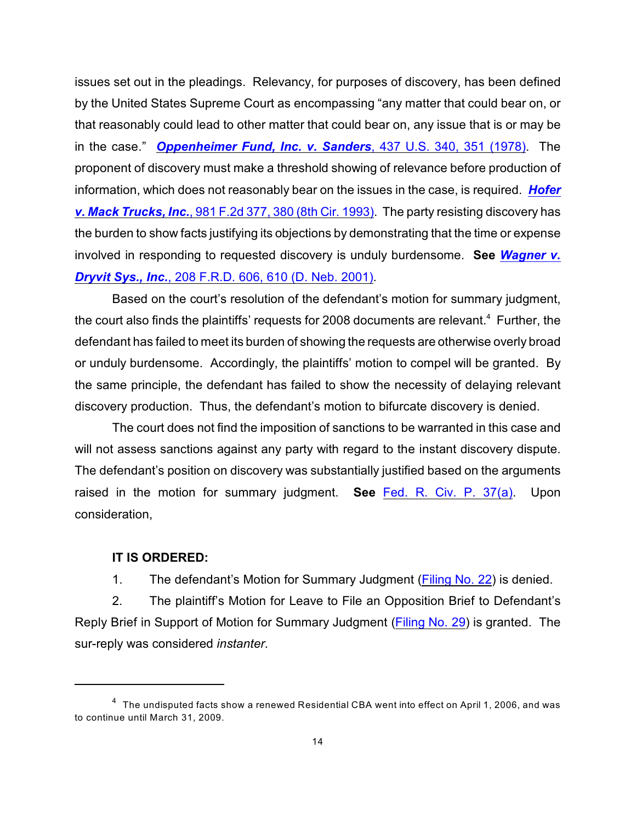issues set out in the pleadings. Relevancy, for purposes of discovery, has been defined by the United States Supreme Court as encompassing "any matter that could bear on, or that reasonably could lead to other matter that could bear on, any issue that is or may be in the case." *[Oppenheimer Fund, Inc. v. Sanders](http://www.westlaw.com/find/default.wl?rs=CLWP3.0&vr=2.0&cite=437+U.S.+340)*, 437 U.S. 340, 351 (1978). The proponent of discovery must make a threshold showing of relevance before production of information, which does not reasonably bear on the issues in the case, is required. *[Hofer](http://www.westlaw.com/find/default.wl?rs=CLWP3.0&vr=2.0&cite=981+F.2d+377) v. Mack Trucks, Inc.*[, 981 F.2d 377, 380 \(8th Cir. 1993\)](http://www.westlaw.com/find/default.wl?rs=CLWP3.0&vr=2.0&cite=981+F.2d+377). The party resisting discovery has the burden to show facts justifying its objections by demonstrating that the time or expense involved in responding to requested discovery is unduly burdensome. **See** *[Wagner v.](http://www.westlaw.com/find/default.wl?rs=CLWP3.0&vr=2.0&cite=208+F.R.D.+606) Dryvit Sys., Inc.*[, 208 F.R.D. 606, 610 \(D. Neb. 2001\)](http://www.westlaw.com/find/default.wl?rs=CLWP3.0&vr=2.0&cite=208+F.R.D.+606).

Based on the court's resolution of the defendant's motion for summary judgment, the court also finds the plaintiffs' requests for 2008 documents are relevant.<sup>4</sup> Further, the defendant has failed to meet its burden of showing the requests are otherwise overly broad or unduly burdensome. Accordingly, the plaintiffs' motion to compel will be granted. By the same principle, the defendant has failed to show the necessity of delaying relevant discovery production. Thus, the defendant's motion to bifurcate discovery is denied.

The court does not find the imposition of sanctions to be warranted in this case and will not assess sanctions against any party with regard to the instant discovery dispute. The defendant's position on discovery was substantially justified based on the arguments raised in the motion for summary judgment. **See** [Fed. R. Civ. P. 37\(a\)](http://www.westlaw.com/find/default.wl?rs=CLWP3.0&vr=2.0&cite=FRCP+Rule+37%28a%29%285%29%28B%29). Upon consideration,

#### **IT IS ORDERED:**

1. The defendant's Motion for Summary Judgment [\(Filing No. 22](https://ecf.ned.uscourts.gov/doc1/11301466747)) is denied.

2. The plaintiff's Motion for Leave to File an Opposition Brief to Defendant's Reply Brief in Support of Motion for Summary Judgment [\(Filing No. 29](https://ecf.ned.uscourts.gov/doc1/11311497697)) is granted. The sur-reply was considered *instanter*.

 $^4\;$  The undisputed facts show a renewed Residential CBA went into effect on April 1, 2006, and was to continue until March 31, 2009.